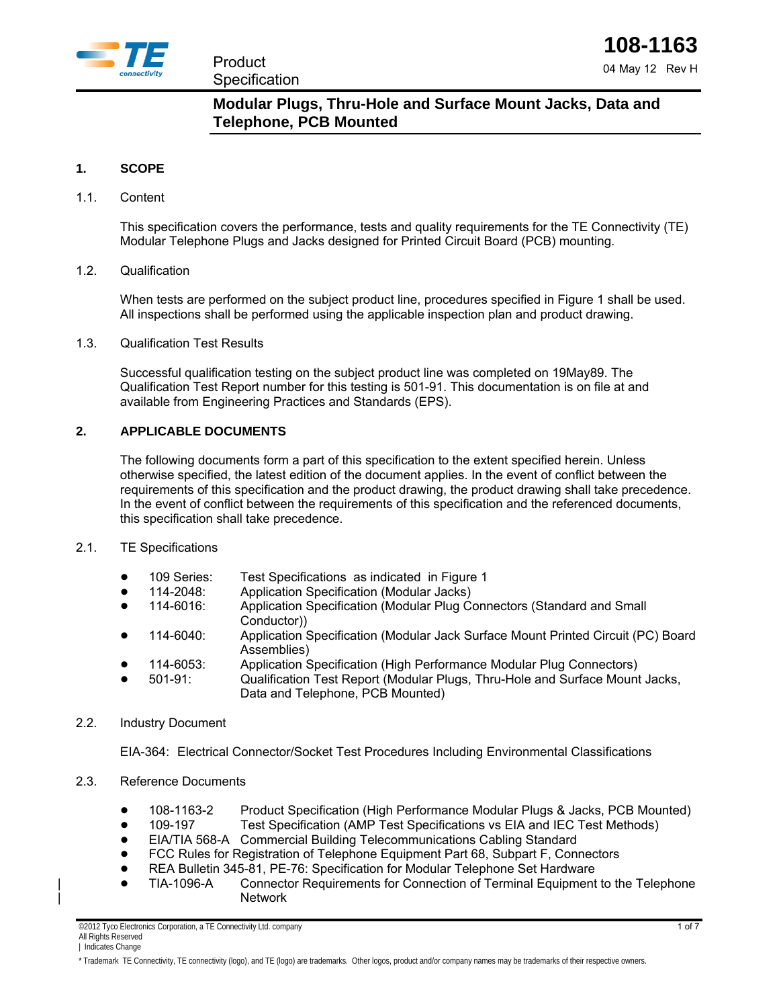

# **Modular Plugs, Thru-Hole and Surface Mount Jacks, Data and Telephone, PCB Mounted**

### **1. SCOPE**

### 1.1. Content

This specification covers the performance, tests and quality requirements for the TE Connectivity (TE) Modular Telephone Plugs and Jacks designed for Printed Circuit Board (PCB) mounting.

### 1.2. Qualification

When tests are performed on the subject product line, procedures specified in Figure 1 shall be used. All inspections shall be performed using the applicable inspection plan and product drawing.

### 1.3. Qualification Test Results

Successful qualification testing on the subject product line was completed on 19May89. The Qualification Test Report number for this testing is 501-91. This documentation is on file at and available from Engineering Practices and Standards (EPS).

### **2. APPLICABLE DOCUMENTS**

The following documents form a part of this specification to the extent specified herein. Unless otherwise specified, the latest edition of the document applies. In the event of conflict between the requirements of this specification and the product drawing, the product drawing shall take precedence. In the event of conflict between the requirements of this specification and the referenced documents, this specification shall take precedence.

### 2.1. TE Specifications

- 109 Series: Test Specifications as indicated in Figure 1
- ! 114-2048: Application Specification (Modular Jacks)
- ! 114-6016: Application Specification (Modular Plug Connectors (Standard and Small Conductor))
- ! 114-6040: Application Specification (Modular Jack Surface Mount Printed Circuit (PC) Board Assemblies)
- ! 114-6053: Application Specification (High Performance Modular Plug Connectors)
- ! 501-91: Qualification Test Report (Modular Plugs, Thru-Hole and Surface Mount Jacks, Data and Telephone, PCB Mounted)

### 2.2. Industry Document

EIA-364: Electrical Connector/Socket Test Procedures Including Environmental Classifications

- 2.3. Reference Documents
	- 108-1163-2 Product Specification (High Performance Modular Plugs & Jacks, PCB Mounted)
	- 109-197 Test Specification (AMP Test Specifications vs EIA and IEC Test Methods)
	- ! EIA/TIA 568-A Commercial Building Telecommunications Cabling Standard
	- ! FCC Rules for Registration of Telephone Equipment Part 68, Subpart F, Connectors
	- REA Bulletin 345-81, PE-76: Specification for Modular Telephone Set Hardware
	- | ! TIA-1096-A Connector Requirements for Connection of Terminal Equipment to the Telephone | Network

©2012 Tyco Electronics Corporation, a TE Connectivity Ltd. company All Rights Reserved

#### | Indicates Change

\* Trademark TE Connectivity, TE connectivity (logo), and TE (logo) are trademarks. Other logos, product and/or company names may be trademarks of their respective owners.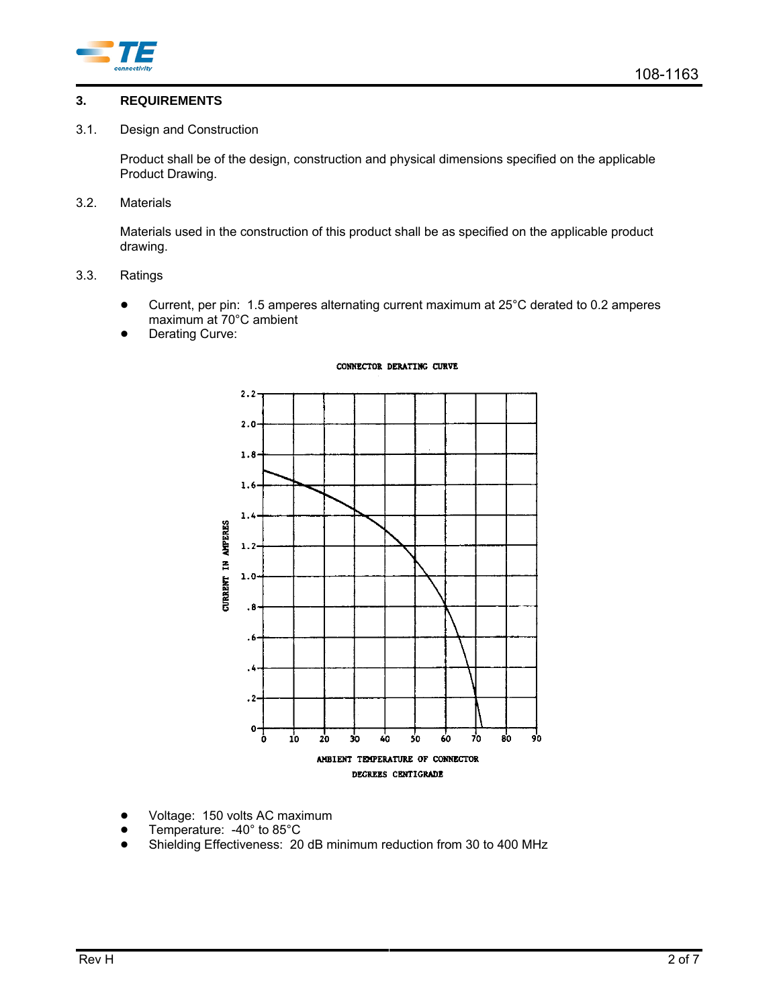

### **3. REQUIREMENTS**

### 3.1. Design and Construction

Product shall be of the design, construction and physical dimensions specified on the applicable Product Drawing.

3.2. Materials

Materials used in the construction of this product shall be as specified on the applicable product drawing.

- 3.3. Ratings
	- ! Current, per pin: 1.5 amperes alternating current maximum at 25°C derated to 0.2 amperes maximum at 70°C ambient
	- Derating Curve:

#### CONNECTOR DERATING CURVE



- Voltage: 150 volts AC maximum
- Temperature: -40° to 85°C
- Shielding Effectiveness: 20 dB minimum reduction from 30 to 400 MHz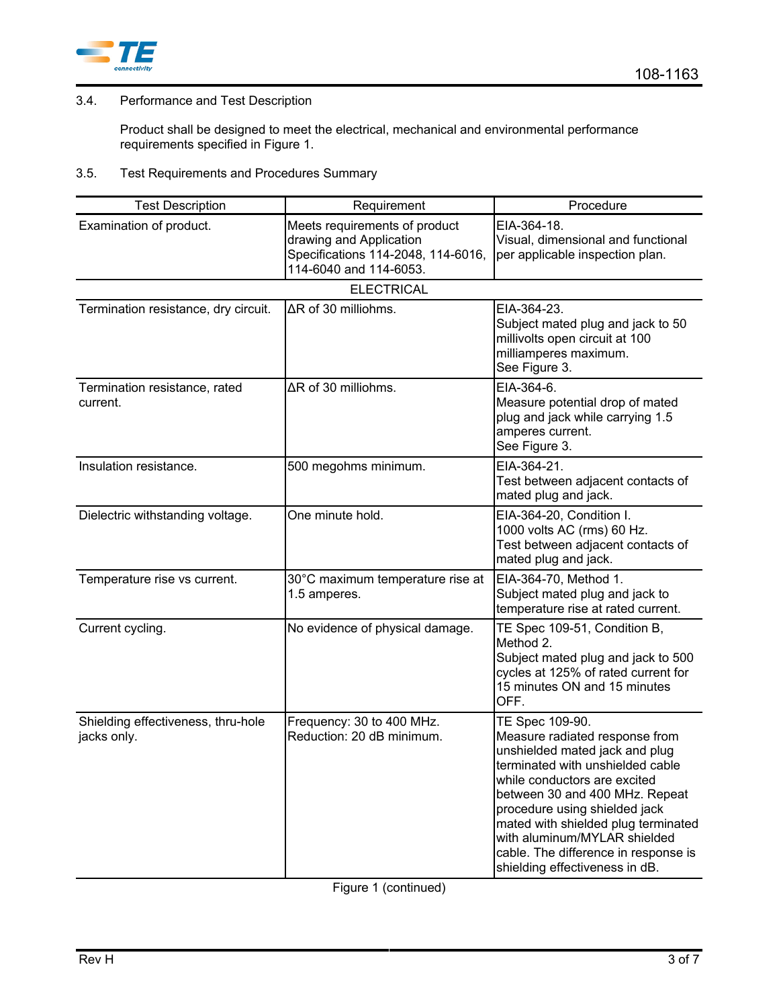

## 3.4. Performance and Test Description

Product shall be designed to meet the electrical, mechanical and environmental performance requirements specified in Figure 1.

## 3.5. Test Requirements and Procedures Summary

| <b>Test Description</b>                           | Requirement                                                                                                              | Procedure                                                                                                                                                                                                                                                                                                                                                                   |  |  |  |  |  |  |  |
|---------------------------------------------------|--------------------------------------------------------------------------------------------------------------------------|-----------------------------------------------------------------------------------------------------------------------------------------------------------------------------------------------------------------------------------------------------------------------------------------------------------------------------------------------------------------------------|--|--|--|--|--|--|--|
| Examination of product.                           | Meets requirements of product<br>drawing and Application<br>Specifications 114-2048, 114-6016,<br>114-6040 and 114-6053. | EIA-364-18.<br>Visual, dimensional and functional<br>per applicable inspection plan.                                                                                                                                                                                                                                                                                        |  |  |  |  |  |  |  |
| <b>ELECTRICAL</b>                                 |                                                                                                                          |                                                                                                                                                                                                                                                                                                                                                                             |  |  |  |  |  |  |  |
| Termination resistance, dry circuit.              | ΔR of 30 milliohms.                                                                                                      | EIA-364-23.<br>Subject mated plug and jack to 50<br>millivolts open circuit at 100<br>milliamperes maximum.<br>See Figure 3.                                                                                                                                                                                                                                                |  |  |  |  |  |  |  |
| Termination resistance, rated<br>current.         | ΔR of 30 milliohms.                                                                                                      | EIA-364-6.<br>Measure potential drop of mated<br>plug and jack while carrying 1.5<br>amperes current.<br>See Figure 3.                                                                                                                                                                                                                                                      |  |  |  |  |  |  |  |
| Insulation resistance.                            | 500 megohms minimum.                                                                                                     | EIA-364-21.<br>Test between adjacent contacts of<br>mated plug and jack.                                                                                                                                                                                                                                                                                                    |  |  |  |  |  |  |  |
| Dielectric withstanding voltage.                  | One minute hold.                                                                                                         | EIA-364-20, Condition I.<br>1000 volts AC (rms) 60 Hz.<br>Test between adjacent contacts of<br>mated plug and jack.                                                                                                                                                                                                                                                         |  |  |  |  |  |  |  |
| Temperature rise vs current.                      | 30°C maximum temperature rise at<br>1.5 amperes.                                                                         | EIA-364-70, Method 1.<br>Subject mated plug and jack to<br>temperature rise at rated current.                                                                                                                                                                                                                                                                               |  |  |  |  |  |  |  |
| Current cycling.                                  | No evidence of physical damage.                                                                                          | TE Spec 109-51, Condition B,<br>Method 2.<br>Subject mated plug and jack to 500<br>cycles at 125% of rated current for<br>15 minutes ON and 15 minutes<br>OFF.                                                                                                                                                                                                              |  |  |  |  |  |  |  |
| Shielding effectiveness, thru-hole<br>jacks only. | Frequency: 30 to 400 MHz.<br>Reduction: 20 dB minimum.                                                                   | TE Spec 109-90.<br>Measure radiated response from<br>unshielded mated jack and plug<br>terminated with unshielded cable<br>while conductors are excited<br>between 30 and 400 MHz. Repeat<br>procedure using shielded jack<br>mated with shielded plug terminated<br>with aluminum/MYLAR shielded<br>cable. The difference in response is<br>shielding effectiveness in dB. |  |  |  |  |  |  |  |

Figure 1 (continued)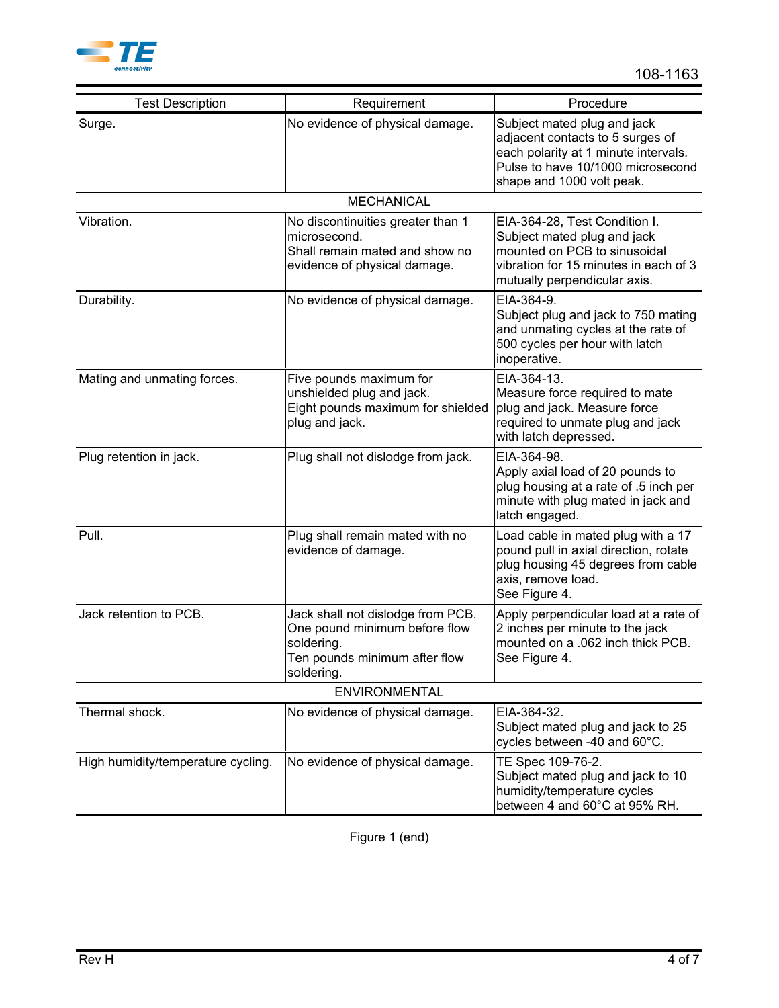

| <b>Test Description</b>            | Requirement                                                                                                                     | Procedure                                                                                                                                                                 |  |  |  |  |  |  |
|------------------------------------|---------------------------------------------------------------------------------------------------------------------------------|---------------------------------------------------------------------------------------------------------------------------------------------------------------------------|--|--|--|--|--|--|
| Surge.                             | No evidence of physical damage.                                                                                                 | Subject mated plug and jack<br>adjacent contacts to 5 surges of<br>each polarity at 1 minute intervals.<br>Pulse to have 10/1000 microsecond<br>shape and 1000 volt peak. |  |  |  |  |  |  |
| <b>MECHANICAL</b>                  |                                                                                                                                 |                                                                                                                                                                           |  |  |  |  |  |  |
| Vibration.                         | No discontinuities greater than 1<br>microsecond.<br>Shall remain mated and show no<br>evidence of physical damage.             | EIA-364-28, Test Condition I.<br>Subject mated plug and jack<br>mounted on PCB to sinusoidal<br>vibration for 15 minutes in each of 3<br>mutually perpendicular axis.     |  |  |  |  |  |  |
| Durability.                        | No evidence of physical damage.                                                                                                 | EIA-364-9.<br>Subject plug and jack to 750 mating<br>and unmating cycles at the rate of<br>500 cycles per hour with latch<br>inoperative.                                 |  |  |  |  |  |  |
| Mating and unmating forces.        | Five pounds maximum for<br>unshielded plug and jack.<br>Eight pounds maximum for shielded<br>plug and jack.                     | EIA-364-13.<br>Measure force required to mate<br>plug and jack. Measure force<br>required to unmate plug and jack<br>with latch depressed.                                |  |  |  |  |  |  |
| Plug retention in jack.            | Plug shall not dislodge from jack.                                                                                              | EIA-364-98.<br>Apply axial load of 20 pounds to<br>plug housing at a rate of .5 inch per<br>minute with plug mated in jack and<br>latch engaged.                          |  |  |  |  |  |  |
| Pull.                              | Plug shall remain mated with no<br>evidence of damage.                                                                          | Load cable in mated plug with a 17<br>pound pull in axial direction, rotate<br>plug housing 45 degrees from cable<br>axis, remove load.<br>See Figure 4.                  |  |  |  |  |  |  |
| Jack retention to PCB.             | Jack shall not dislodge from PCB.<br>One pound minimum before flow<br>soldering.<br>Ten pounds minimum after flow<br>soldering. | Apply perpendicular load at a rate of<br>2 inches per minute to the jack<br>mounted on a .062 inch thick PCB.<br>See Figure 4.                                            |  |  |  |  |  |  |
| <b>ENVIRONMENTAL</b>               |                                                                                                                                 |                                                                                                                                                                           |  |  |  |  |  |  |
| Thermal shock.                     | No evidence of physical damage.                                                                                                 | EIA-364-32.<br>Subject mated plug and jack to 25<br>cycles between -40 and 60°C.                                                                                          |  |  |  |  |  |  |
| High humidity/temperature cycling. | No evidence of physical damage.                                                                                                 | TE Spec 109-76-2.<br>Subject mated plug and jack to 10<br>humidity/temperature cycles<br>between 4 and 60°C at 95% RH.                                                    |  |  |  |  |  |  |

Figure 1 (end)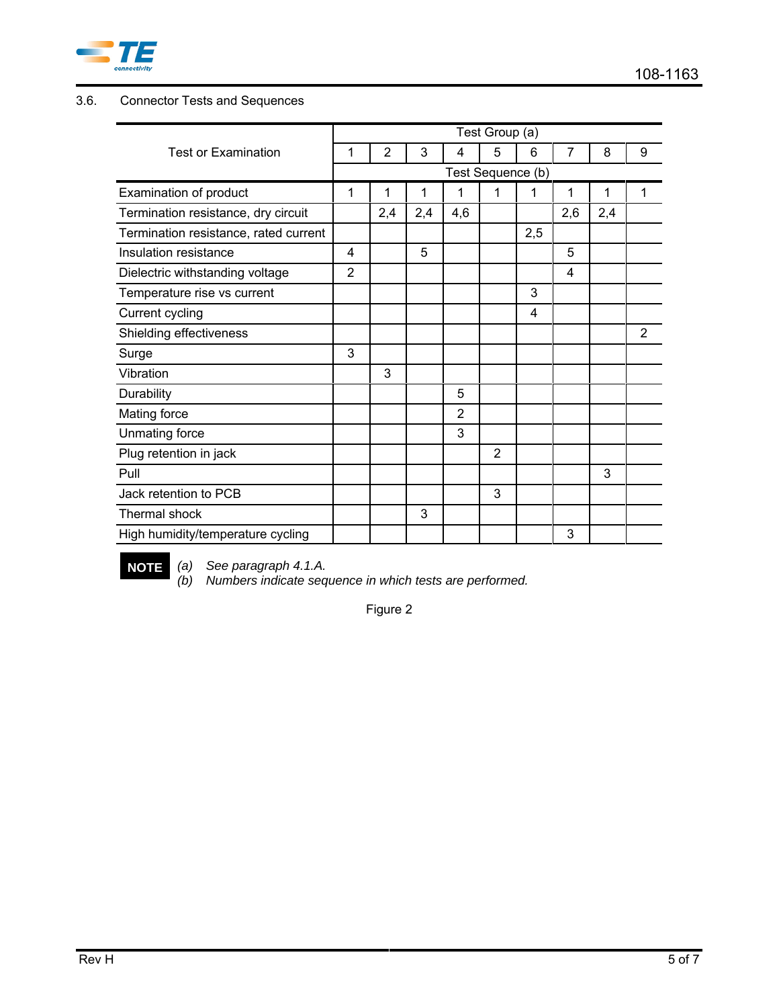

# 3.6. Connector Tests and Sequences

|                                       | Test Group (a) |                   |     |                |   |     |     |     |                |
|---------------------------------------|----------------|-------------------|-----|----------------|---|-----|-----|-----|----------------|
| <b>Test or Examination</b>            | 1              | $\overline{2}$    | 3   | 4              | 5 | 6   | 7   | 8   | 9              |
|                                       |                | Test Sequence (b) |     |                |   |     |     |     |                |
| Examination of product                | 1              | 1                 | 1   | 1              | 1 | 1   | 1   | 1   | 1              |
| Termination resistance, dry circuit   |                | 2,4               | 2,4 | 4,6            |   |     | 2,6 | 2,4 |                |
| Termination resistance, rated current |                |                   |     |                |   | 2,5 |     |     |                |
| Insulation resistance                 | 4              |                   | 5   |                |   |     | 5   |     |                |
| Dielectric withstanding voltage       | 2              |                   |     |                |   |     | 4   |     |                |
| Temperature rise vs current           |                |                   |     |                |   | 3   |     |     |                |
| <b>Current cycling</b>                |                |                   |     |                |   | 4   |     |     |                |
| Shielding effectiveness               |                |                   |     |                |   |     |     |     | $\overline{2}$ |
| Surge                                 | 3              |                   |     |                |   |     |     |     |                |
| Vibration                             |                | 3                 |     |                |   |     |     |     |                |
| Durability                            |                |                   |     | 5              |   |     |     |     |                |
| Mating force                          |                |                   |     | $\overline{2}$ |   |     |     |     |                |
| Unmating force                        |                |                   |     | 3              |   |     |     |     |                |
| Plug retention in jack                |                |                   |     |                | 2 |     |     |     |                |
| Pull                                  |                |                   |     |                |   |     |     | 3   |                |
| Jack retention to PCB                 |                |                   |     |                | 3 |     |     |     |                |
| Thermal shock                         |                |                   | 3   |                |   |     |     |     |                |
| High humidity/temperature cycling     |                |                   |     |                |   |     | 3   |     |                |

**NOTE** *(a) See paragraph 4.1.A.*

*(b) Numbers indicate sequence in which tests are performed.*

Figure 2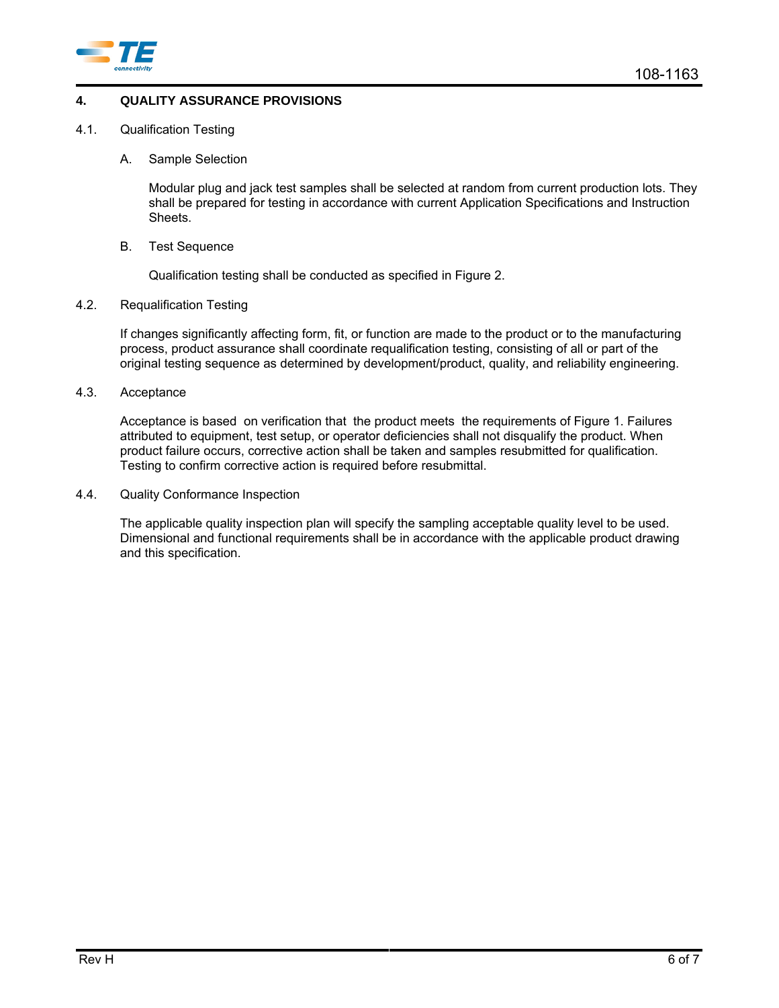

### **4. QUALITY ASSURANCE PROVISIONS**

- 4.1. Qualification Testing
	- A. Sample Selection

Modular plug and jack test samples shall be selected at random from current production lots. They shall be prepared for testing in accordance with current Application Specifications and Instruction Sheets.

B. Test Sequence

Qualification testing shall be conducted as specified in Figure 2.

4.2. Requalification Testing

If changes significantly affecting form, fit, or function are made to the product or to the manufacturing process, product assurance shall coordinate requalification testing, consisting of all or part of the original testing sequence as determined by development/product, quality, and reliability engineering.

4.3. Acceptance

Acceptance is based on verification that the product meets the requirements of Figure 1. Failures attributed to equipment, test setup, or operator deficiencies shall not disqualify the product. When product failure occurs, corrective action shall be taken and samples resubmitted for qualification. Testing to confirm corrective action is required before resubmittal.

4.4. Quality Conformance Inspection

The applicable quality inspection plan will specify the sampling acceptable quality level to be used. Dimensional and functional requirements shall be in accordance with the applicable product drawing and this specification.